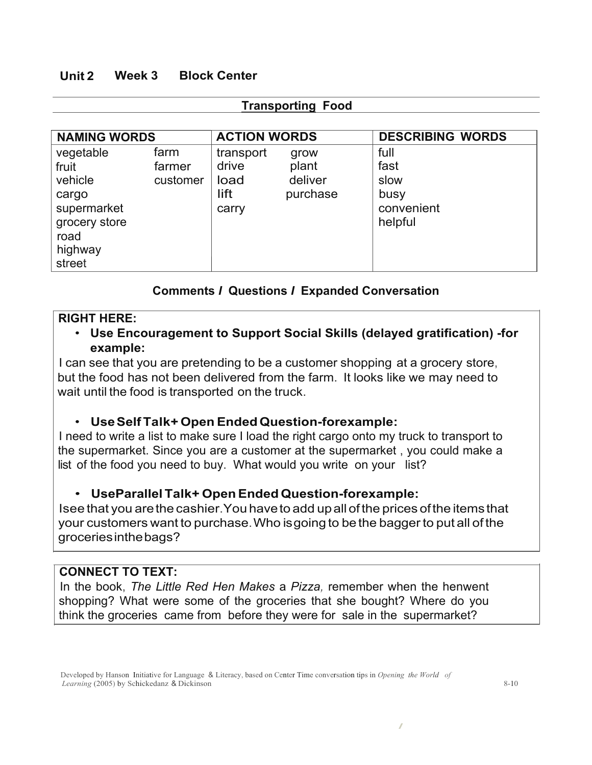# **Unit 2 Week 3 Block Center**

| <b>Transporting Food</b>                                                                            |                            |                                             |                                      |                                                       |  |  |
|-----------------------------------------------------------------------------------------------------|----------------------------|---------------------------------------------|--------------------------------------|-------------------------------------------------------|--|--|
| <b>NAMING WORDS</b>                                                                                 |                            | <b>ACTION WORDS</b>                         |                                      | <b>DESCRIBING WORDS</b>                               |  |  |
| vegetable<br>fruit<br>vehicle<br>cargo<br>supermarket<br>grocery store<br>road<br>highway<br>street | farm<br>farmer<br>customer | transport<br>drive<br>load<br>lift<br>carry | grow<br>plant<br>deliver<br>purchase | full<br>fast<br>slow<br>busy<br>convenient<br>helpful |  |  |

# **Comments** *I* **Questions** *I* **Expanded Conversation**

### **RIGHT HERE:**

# • **Use Encouragement to Support Social Skills (delayed gratification) -for example:**

I can see that you are pretending to be a customer shopping at a grocery store, but the food has not been delivered from the farm. It looks like we may need to wait until the food is transported on the truck.

### • **UseSelfTalk+ Open EndedQuestion-forexample:**

I need to write a list to make sure I load the right cargo onto my truck to transport to the supermarket. Since you are a customer at the supermarket , you could make a list of the food you need to buy. What would you write on your list?

### • **UseParallel Talk+ OpenEnded Question-forexample:**

Isee that you arethe cashier.You haveto add upall ofthe prices ofthe items that your customers want to purchase.Who isgoing to bethe bagger to put all of the groceriesinthebags?

### **CONNECT TO TEXT:**

In the book, *The Little Red Hen Makes* a *Pizza,* remember when the henwent shopping? What were some of the groceries that she bought? Where do you think the groceries came from before they were for sale in the supermarket?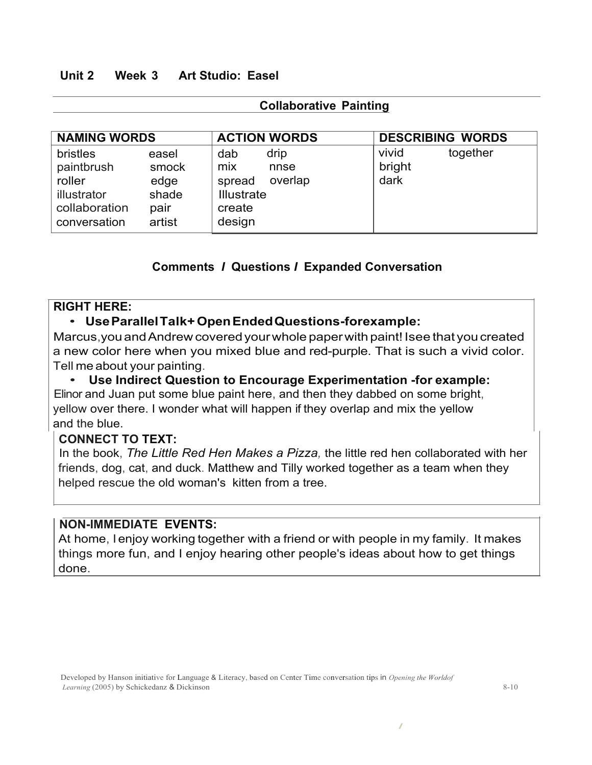### **Unit 2 Week 3 Art Studio: Easel**

### **Collaborative Painting**

| <b>NAMING WORDS</b>                                                                     |                                                   | <b>ACTION WORDS</b>                                                                      | <b>DESCRIBING WORDS</b>             |
|-----------------------------------------------------------------------------------------|---------------------------------------------------|------------------------------------------------------------------------------------------|-------------------------------------|
| <b>bristles</b><br>paintbrush<br>roller<br>illustrator<br>collaboration<br>conversation | easel<br>smock<br>edge<br>shade<br>pair<br>artist | drip<br>dab<br>mix<br>nnse<br>overlap<br>spread<br><b>Illustrate</b><br>create<br>design | vivid<br>together<br>bright<br>dark |

# **Comments** *I* **Questions** *I* **Expanded Conversation**

#### **RIGHT HERE:**

### • **UseParallelTalk+OpenEndedQuestions-forexample:**

Marcus,youandAndrew coveredyourwhole paperwith paint! Isee that youcreated a new color here when you mixed blue and red-purple. That is such a vivid color. Tell me about your painting.

#### • **Use Indirect Question to Encourage Experimentation -for example:**

Elinor and Juan put some blue paint here, and then they dabbed on some bright, yellow over there. I wonder what will happen if they overlap and mix the yellow and the blue.

#### **CONNECT TO TEXT:**

In the book, *The Little Red Hen Makes a Pizza,* the little red hen collaborated with her friends, dog, cat, and duck. Matthew and Tilly worked together as a team when they helped rescue the old woman's kitten from a tree.

#### **NON-IMMEDIATE EVENTS:**

At home, I enjoy working together with a friend or with people in my family. It makes things more fun, and I enjoy hearing other people's ideas about how to get things done.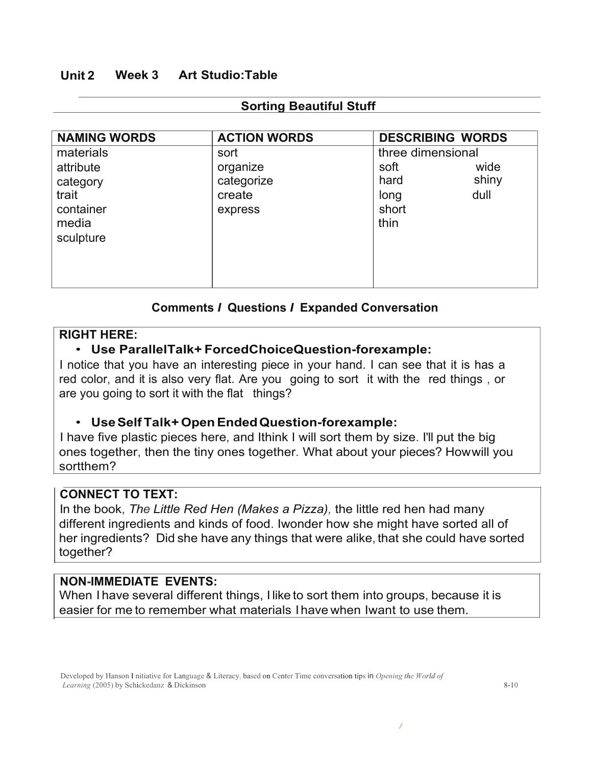# **Unit 2 Week 3 Art Studio:Table**

| <b>NAMING WORDS</b>                                                            | <b>ACTION WORDS</b>                                 |                                                            | <b>DESCRIBING WORDS</b> |
|--------------------------------------------------------------------------------|-----------------------------------------------------|------------------------------------------------------------|-------------------------|
| materials<br>attribute<br>category<br>trait<br>container<br>media<br>sculpture | sort<br>organize<br>categorize<br>create<br>express | three dimensional<br>soft<br>hard<br>long<br>short<br>thin | wide<br>shiny<br>dull   |

#### **Sorting Beautiful Stuff**

# **Comments** *I* **Questions** *I* **Expanded Conversation**

### **RIGHT HERE:**

### • **Use ParallelTalk+ ForcedChoiceQuestion-forexample:**

I notice that you have an interesting piece in your hand. I can see that it is has a red color, and it is also very flat. Are you going to sort it with the red things , or are you going to sort it with the flat things?

### • **UseSelfTalk+ OpenEndedQuestion-forexample:**

I have five plastic pieces here, and Ithink I will sort them by size. I'll put the big ones together, then the tiny ones together. What about your pieces? Howwill you sortthem?

# **CONNECT TO TEXT:**

In the book, *The Little Red Hen (Makes a Pizza),* the little red hen had many different ingredients and kinds of food. Iwonder how she might have sorted all of her ingredients? Did she have any things that were alike, that she could have sorted together?

### **NON-IMMEDIATE EVENTS:**

When I have several different things, I like to sort them into groups, because it is easier for me to remember what materials I have when Iwant to use them.